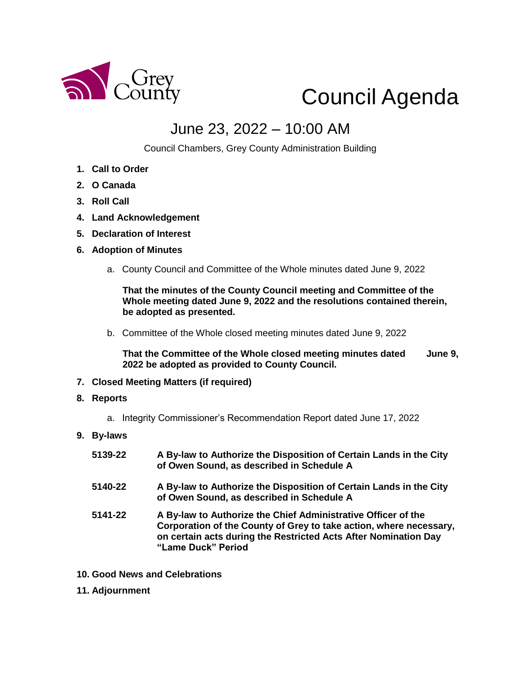

## Council Agenda

## June 23, 2022 – 10:00 AM

Council Chambers, Grey County Administration Building

- **1. Call to Order**
- **2. O Canada**
- **3. Roll Call**
- **4. Land Acknowledgement**
- **5. Declaration of Interest**
- **6. Adoption of Minutes** 
	- a. County Council and Committee of the Whole minutes dated June 9, 2022

**That the minutes of the County Council meeting and Committee of the Whole meeting dated June 9, 2022 and the resolutions contained therein, be adopted as presented.** 

b. Committee of the Whole closed meeting minutes dated June 9, 2022

**That the Committee of the Whole closed meeting minutes dated June 9, 2022 be adopted as provided to County Council.**

- **7. Closed Meeting Matters (if required)**
- **8. Reports**
	- a. Integrity Commissioner's Recommendation Report dated June 17, 2022
- **9. By-laws** 
	- **5139-22 A By-law to Authorize the Disposition of Certain Lands in the City of Owen Sound, as described in Schedule A 5140-22 A By-law to Authorize the Disposition of Certain Lands in the City of Owen Sound, as described in Schedule A 5141-22 A By-law to Authorize the Chief Administrative Officer of the**
	- **Corporation of the County of Grey to take action, where necessary, on certain acts during the Restricted Acts After Nomination Day "Lame Duck" Period**
- **10. Good News and Celebrations**
- **11. Adjournment**